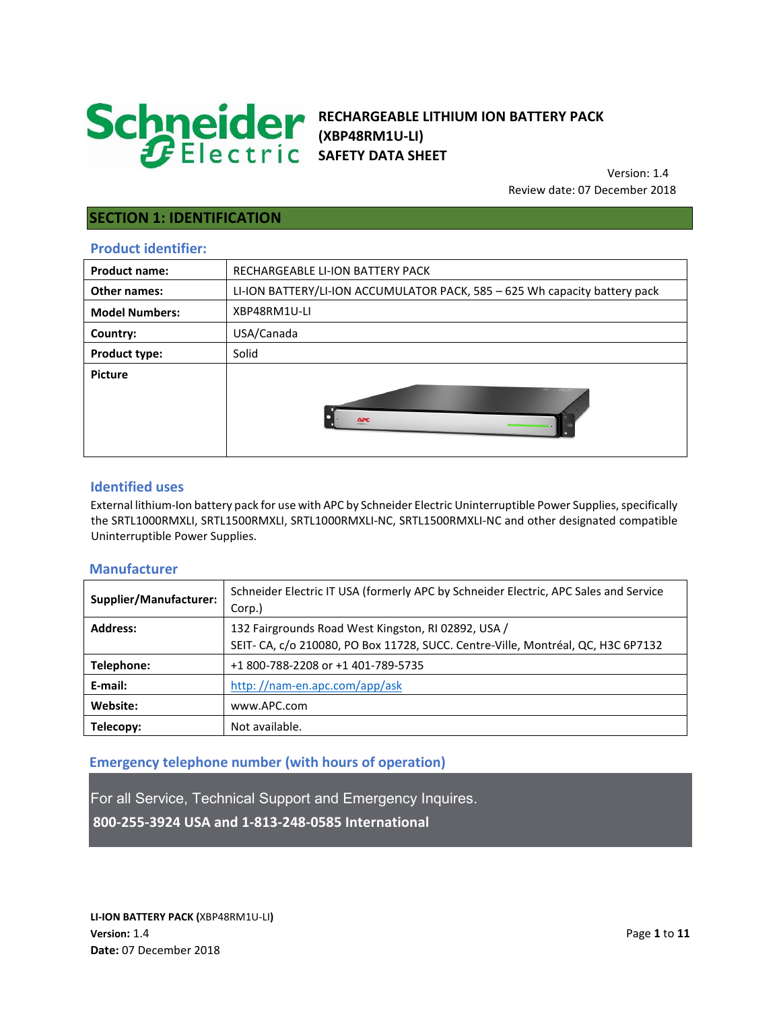

# **RECHARGEABLE LITHIUM ION BATTERY PACK (XBP48RM1U-LI) SAFETY DATA SHEET**

 Version: 1.4 Review date: 07 December 2018

# **SECTION 1: IDENTIFICATION**

## **Product identifier:**

| <b>Product name:</b>  | RECHARGEABLE LI-ION BATTERY PACK                                           |
|-----------------------|----------------------------------------------------------------------------|
| <b>Other names:</b>   | LI-ION BATTERY/LI-ION ACCUMULATOR PACK, 585 - 625 Wh capacity battery pack |
| <b>Model Numbers:</b> | XBP48RM1U-LI                                                               |
| Country:              | USA/Canada                                                                 |
| <b>Product type:</b>  | Solid                                                                      |
| <b>Picture</b>        | $\Delta PC$                                                                |

### **Identified uses**

External lithium-Ion battery pack for use with APC by Schneider Electric Uninterruptible Power Supplies, specifically the SRTL1000RMXLI, SRTL1500RMXLI, SRTL1000RMXLI-NC, SRTL1500RMXLI-NC and other designated compatible Uninterruptible Power Supplies.

### **Manufacturer**

| Supplier/Manufacturer: | Schneider Electric IT USA (formerly APC by Schneider Electric, APC Sales and Service<br>Corp.) |  |
|------------------------|------------------------------------------------------------------------------------------------|--|
| <b>Address:</b>        | 132 Fairgrounds Road West Kingston, RJ 02892, USA /                                            |  |
|                        | SEIT- CA, c/o 210080, PO Box 11728, SUCC. Centre-Ville, Montréal, QC, H3C 6P7132               |  |
| Telephone:             | +1 800-788-2208 or +1 401-789-5735                                                             |  |
| E-mail:                | http://nam-en.apc.com/app/ask                                                                  |  |
| Website:               | www.APC.com                                                                                    |  |
| Telecopy:              | Not available.                                                                                 |  |

## **Emergency telephone number (with hours of operation)**

For all Service, Technical Support and Emergency Inquires. **800-255-3924 USA and 1-813-248-0585 International**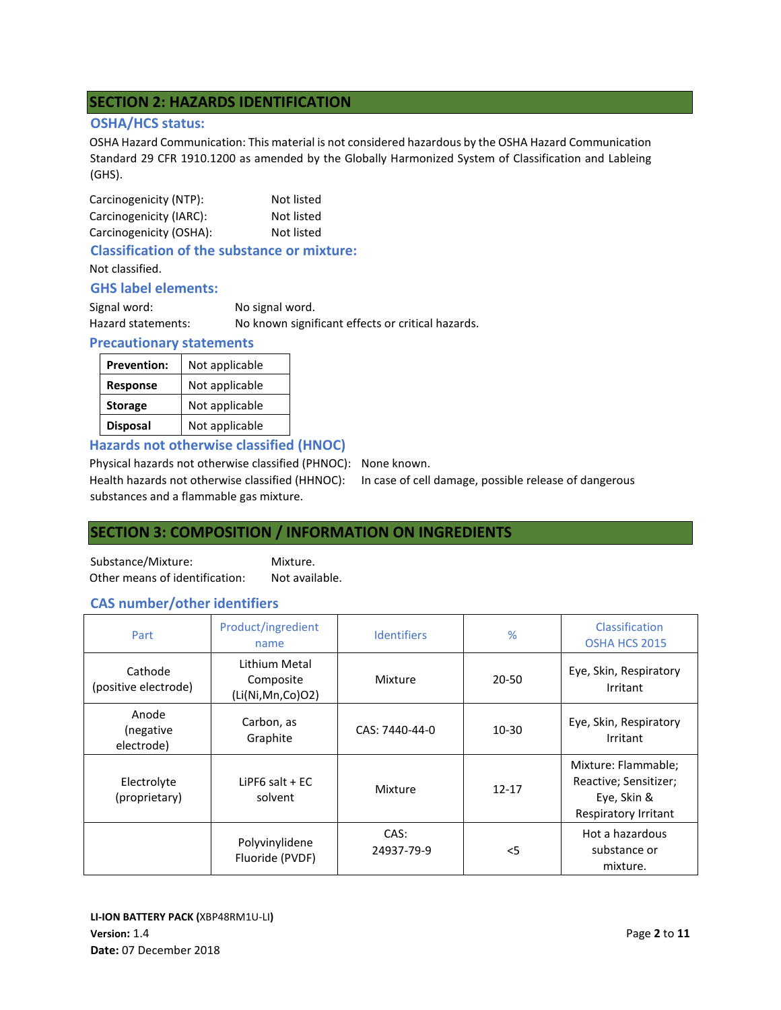# **SECTION 2: HAZARDS IDENTIFICATION**

### **OSHA/HCS status:**

OSHA Hazard Communication: This material is not considered hazardous by the OSHA Hazard Communication Standard 29 CFR 1910.1200 as amended by the Globally Harmonized System of Classification and Lableing (GHS).

| Carcinogenicity (NTP):  | Not listed |
|-------------------------|------------|
| Carcinogenicity (IARC): | Not listed |
| Carcinogenicity (OSHA): | Not listed |

## **Classification of the substance or mixture:**

Not classified.

### **GHS label elements:**

| Signal word:       | No signal word.                                   |
|--------------------|---------------------------------------------------|
| Hazard statements: | No known significant effects or critical hazards. |

### **Precautionary statements**

| <b>Prevention:</b> | Not applicable |
|--------------------|----------------|
| <b>Response</b>    | Not applicable |
| <b>Storage</b>     | Not applicable |
| <b>Disposal</b>    | Not applicable |

**Hazards not otherwise classified (HNOC)** 

Physical hazards not otherwise classified (PHNOC): None known.

Health hazards not otherwise classified (HHNOC): In case of cell damage, possible release of dangerous substances and a flammable gas mixture.

# **SECTION 3: COMPOSITION / INFORMATION ON INGREDIENTS**

Substance/Mixture: Mixture. Other means of identification: Not available.

## **CAS number/other identifiers**

| Part                                                        | Product/ingredient<br>name                     | <b>Identifiers</b> | %         | Classification<br>OSHA HCS 2015                                                     |
|-------------------------------------------------------------|------------------------------------------------|--------------------|-----------|-------------------------------------------------------------------------------------|
| Cathode<br>(positive electrode)                             | Lithium Metal<br>Composite<br>(Li(Ni,Mn,Co)O2) | Mixture            | 20-50     | Eye, Skin, Respiratory<br>Irritant                                                  |
| Anode<br>(negative<br>electrode)                            | Carbon, as<br>Graphite                         | CAS: 7440-44-0     | $10 - 30$ | Eye, Skin, Respiratory<br>Irritant                                                  |
| Electrolyte<br>LiPF6 salt $+EC$<br>(proprietary)<br>solvent |                                                | Mixture            | $12 - 17$ | Mixture: Flammable;<br>Reactive; Sensitizer;<br>Eye, Skin &<br>Respiratory Irritant |
|                                                             | Polyvinylidene<br>Fluoride (PVDF)              | CAS:<br>24937-79-9 | $<$ 5     | Hot a hazardous<br>substance or<br>mixture.                                         |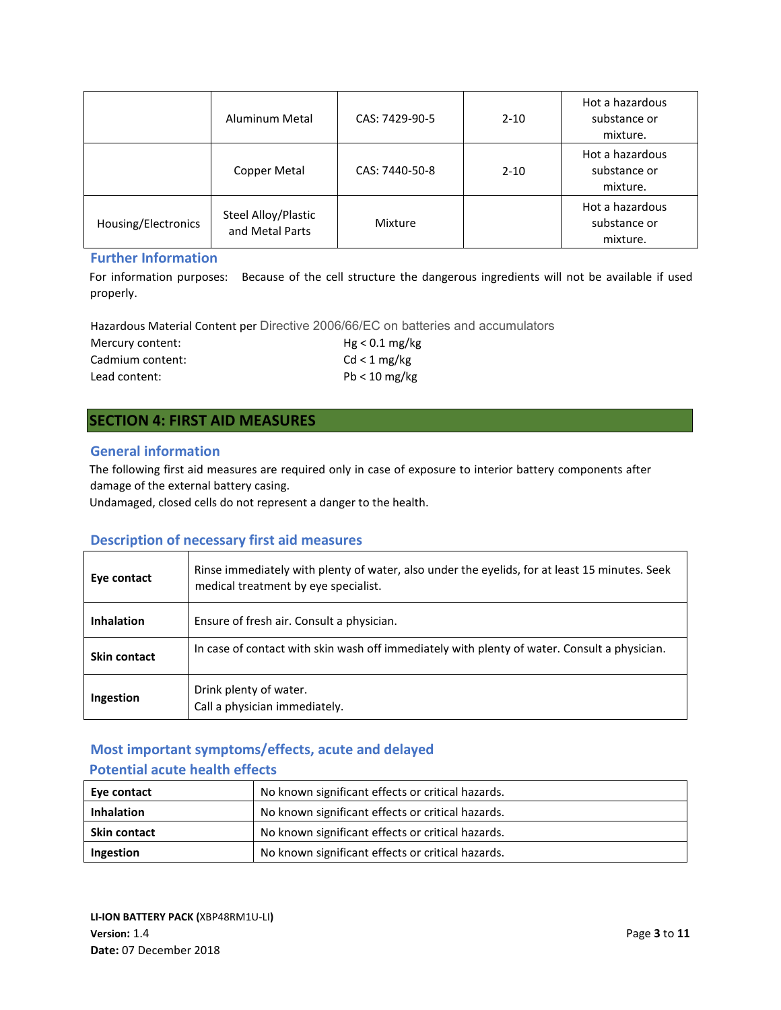|                     | Aluminum Metal                         | CAS: 7429-90-5 | $2 - 10$ | Hot a hazardous<br>substance or<br>mixture. |
|---------------------|----------------------------------------|----------------|----------|---------------------------------------------|
|                     | Copper Metal                           | CAS: 7440-50-8 | $2 - 10$ | Hot a hazardous<br>substance or<br>mixture. |
| Housing/Electronics | Steel Alloy/Plastic<br>and Metal Parts | Mixture        |          | Hot a hazardous<br>substance or<br>mixture. |

### **Further Information**

For information purposes: Because of the cell structure the dangerous ingredients will not be available if used properly.

Hazardous Material Content per Directive 2006/66/EC on batteries and accumulators

| Mercury content: | $Hg < 0.1$ mg/kg |
|------------------|------------------|
| Cadmium content: | Cd < 1 mg/kg     |
| Lead content:    | $Pb < 10$ mg/kg  |

# **SECTION 4: FIRST AID MEASURES**

### **General information**

The following first aid measures are required only in case of exposure to interior battery components after damage of the external battery casing.

Undamaged, closed cells do not represent a danger to the health.

# **Description of necessary first aid measures**

| Eye contact       | Rinse immediately with plenty of water, also under the eyelids, for at least 15 minutes. Seek<br>medical treatment by eye specialist. |
|-------------------|---------------------------------------------------------------------------------------------------------------------------------------|
| <b>Inhalation</b> | Ensure of fresh air. Consult a physician.                                                                                             |
| Skin contact      | In case of contact with skin wash off immediately with plenty of water. Consult a physician.                                          |
| Ingestion         | Drink plenty of water.<br>Call a physician immediately.                                                                               |

# **Most important symptoms/effects, acute and delayed**

# **Potential acute health effects**

| Eye contact         | No known significant effects or critical hazards. |  |
|---------------------|---------------------------------------------------|--|
| <b>Inhalation</b>   | No known significant effects or critical hazards. |  |
| <b>Skin contact</b> | No known significant effects or critical hazards. |  |
| Ingestion           | No known significant effects or critical hazards. |  |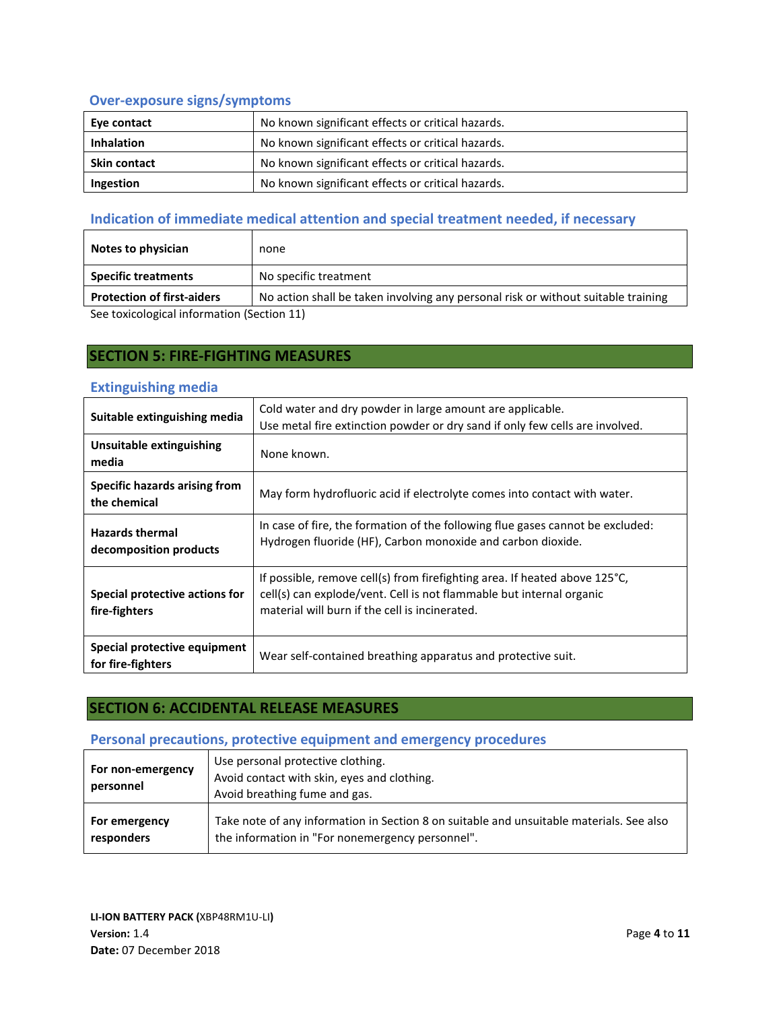# **Over-exposure signs/symptoms**

| Eye contact         | No known significant effects or critical hazards. |  |
|---------------------|---------------------------------------------------|--|
| <b>Inhalation</b>   | No known significant effects or critical hazards. |  |
| <b>Skin contact</b> | No known significant effects or critical hazards. |  |
| Ingestion           | No known significant effects or critical hazards. |  |

# **Indication of immediate medical attention and special treatment needed, if necessary**

| Notes to physician                         | none                                                                              |
|--------------------------------------------|-----------------------------------------------------------------------------------|
| <b>Specific treatments</b>                 | No specific treatment                                                             |
| <b>Protection of first-aiders</b>          | No action shall be taken involving any personal risk or without suitable training |
| See toxicological information (Section 11) |                                                                                   |

See toxicological information (Section 11)

# **SECTION 5: FIRE-FIGHTING MEASURES**

### **Extinguishing media**

| Suitable extinguishing media                      | Cold water and dry powder in large amount are applicable.<br>Use metal fire extinction powder or dry sand if only few cells are involved.                                                                      |
|---------------------------------------------------|----------------------------------------------------------------------------------------------------------------------------------------------------------------------------------------------------------------|
| Unsuitable extinguishing<br>media                 | None known.                                                                                                                                                                                                    |
| Specific hazards arising from<br>the chemical     | May form hydrofluoric acid if electrolyte comes into contact with water.                                                                                                                                       |
| <b>Hazards thermal</b><br>decomposition products  | In case of fire, the formation of the following flue gases cannot be excluded:<br>Hydrogen fluoride (HF), Carbon monoxide and carbon dioxide.                                                                  |
| Special protective actions for<br>fire-fighters   | If possible, remove cell(s) from firefighting area. If heated above $125^{\circ}$ C,<br>cell(s) can explode/vent. Cell is not flammable but internal organic<br>material will burn if the cell is incinerated. |
| Special protective equipment<br>for fire-fighters | Wear self-contained breathing apparatus and protective suit.                                                                                                                                                   |

# **SECTION 6: ACCIDENTAL RELEASE MEASURES**

# **Personal precautions, protective equipment and emergency procedures**

| For non-emergency<br>personnel | Use personal protective clothing.<br>Avoid contact with skin, eyes and clothing.<br>Avoid breathing fume and gas. |
|--------------------------------|-------------------------------------------------------------------------------------------------------------------|
| For emergency                  | Take note of any information in Section 8 on suitable and unsuitable materials. See also                          |
| responders                     | the information in "For nonemergency personnel".                                                                  |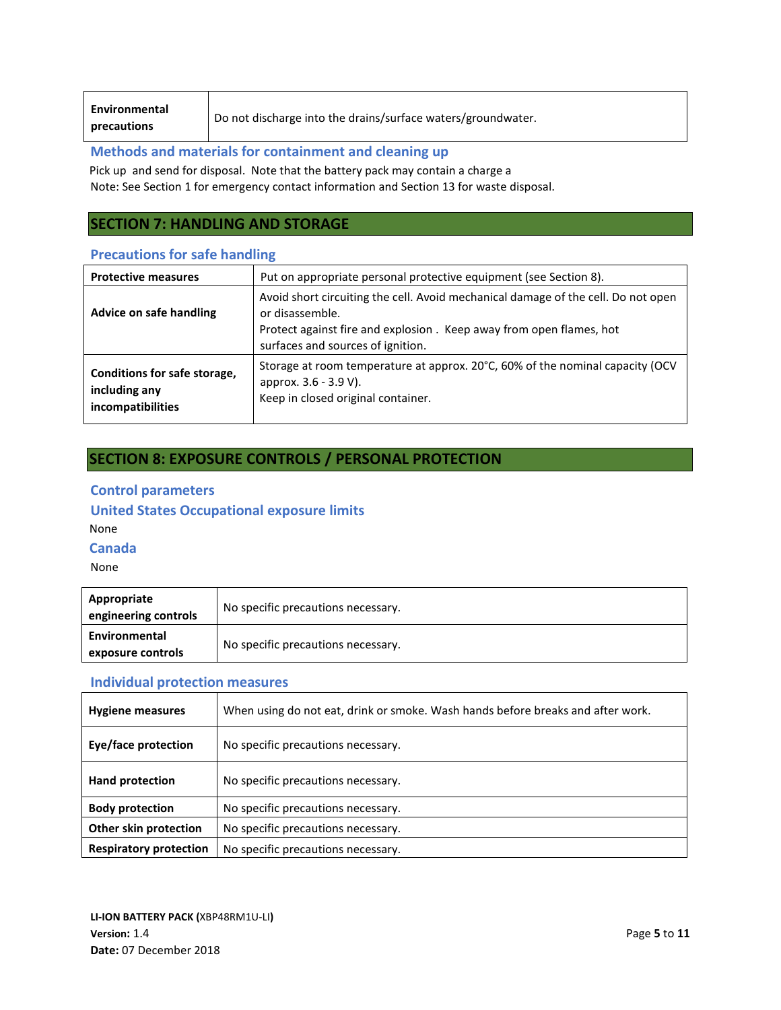**Environmental** 

**precautions** Do not discharge into the drains/surface waters/groundwater.

### **Methods and materials for containment and cleaning up**

Pick up and send for disposal. Note that the battery pack may contain a charge a Note: See Section 1 for emergency contact information and Section 13 for waste disposal.

# **SECTION 7: HANDLING AND STORAGE**

### **Precautions for safe handling**

| <b>Protective measures</b>                                         | Put on appropriate personal protective equipment (see Section 8).                                                                                                                                                |
|--------------------------------------------------------------------|------------------------------------------------------------------------------------------------------------------------------------------------------------------------------------------------------------------|
| Advice on safe handling                                            | Avoid short circuiting the cell. Avoid mechanical damage of the cell. Do not open<br>or disassemble.<br>Protect against fire and explosion. Keep away from open flames, hot<br>surfaces and sources of ignition. |
| Conditions for safe storage,<br>including any<br>incompatibilities | Storage at room temperature at approx. 20°C, 60% of the nominal capacity (OCV<br>approx. 3.6 - 3.9 V).<br>Keep in closed original container.                                                                     |

# **SECTION 8: EXPOSURE CONTROLS / PERSONAL PROTECTION**

## **Control parameters**

### **United States Occupational exposure limits**

None

### **Canada**

None

| Appropriate<br>engineering controls | No specific precautions necessary. |
|-------------------------------------|------------------------------------|
| Environmental<br>exposure controls  | No specific precautions necessary. |

## **Individual protection measures**

| <b>Hygiene measures</b>       | When using do not eat, drink or smoke. Wash hands before breaks and after work. |
|-------------------------------|---------------------------------------------------------------------------------|
| Eye/face protection           | No specific precautions necessary.                                              |
| <b>Hand protection</b>        | No specific precautions necessary.                                              |
| <b>Body protection</b>        | No specific precautions necessary.                                              |
| Other skin protection         | No specific precautions necessary.                                              |
| <b>Respiratory protection</b> | No specific precautions necessary.                                              |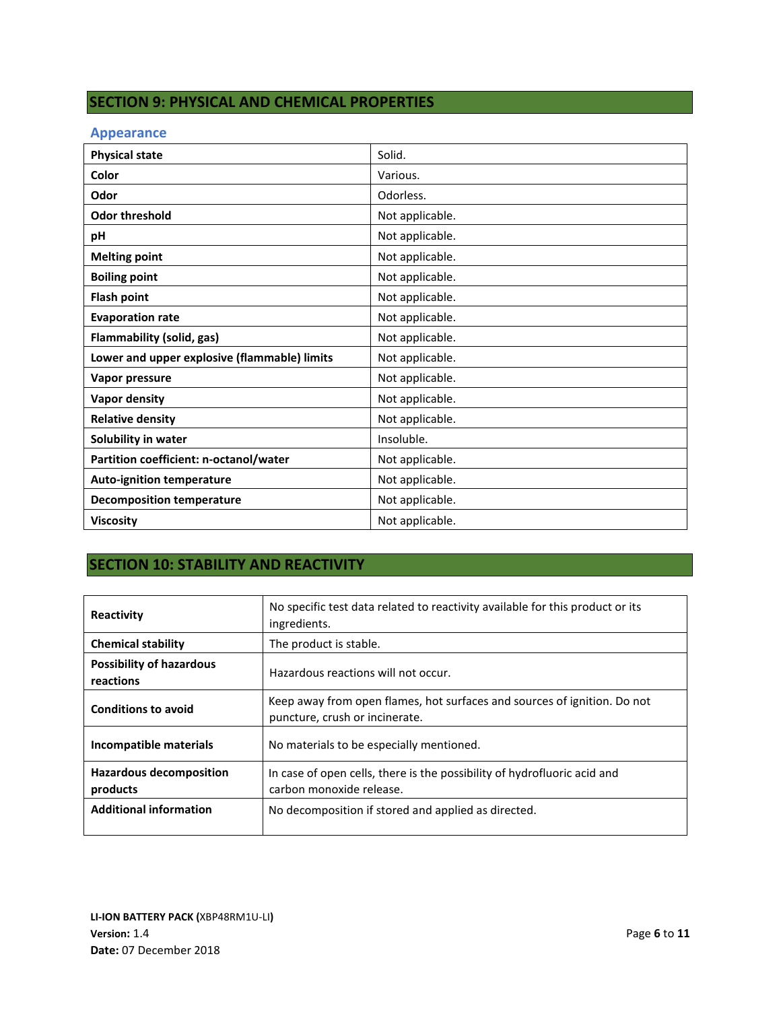# **SECTION 9: PHYSICAL AND CHEMICAL PROPERTIES**

## **Appearance**

| <b>Physical state</b>                        | Solid.          |
|----------------------------------------------|-----------------|
| Color                                        | Various.        |
| Odor                                         | Odorless.       |
| <b>Odor threshold</b>                        | Not applicable. |
| pH                                           | Not applicable. |
| <b>Melting point</b>                         | Not applicable. |
| <b>Boiling point</b>                         | Not applicable. |
| <b>Flash point</b>                           | Not applicable. |
| <b>Evaporation rate</b>                      | Not applicable. |
| Flammability (solid, gas)                    | Not applicable. |
| Lower and upper explosive (flammable) limits | Not applicable. |
| Vapor pressure                               | Not applicable. |
| <b>Vapor density</b>                         | Not applicable. |
| <b>Relative density</b>                      | Not applicable. |
| Solubility in water                          | Insoluble.      |
| Partition coefficient: n-octanol/water       | Not applicable. |
| <b>Auto-ignition temperature</b>             | Not applicable. |
| <b>Decomposition temperature</b>             | Not applicable. |
| <b>Viscosity</b>                             | Not applicable. |

# **SECTION 10: STABILITY AND REACTIVITY**

| Reactivity                                   | No specific test data related to reactivity available for this product or its<br>ingredients.              |
|----------------------------------------------|------------------------------------------------------------------------------------------------------------|
| <b>Chemical stability</b>                    | The product is stable.                                                                                     |
| <b>Possibility of hazardous</b><br>reactions | Hazardous reactions will not occur.                                                                        |
| <b>Conditions to avoid</b>                   | Keep away from open flames, hot surfaces and sources of ignition. Do not<br>puncture, crush or incinerate. |
| Incompatible materials                       | No materials to be especially mentioned.                                                                   |
| <b>Hazardous decomposition</b><br>products   | In case of open cells, there is the possibility of hydrofluoric acid and<br>carbon monoxide release.       |
| <b>Additional information</b>                | No decomposition if stored and applied as directed.                                                        |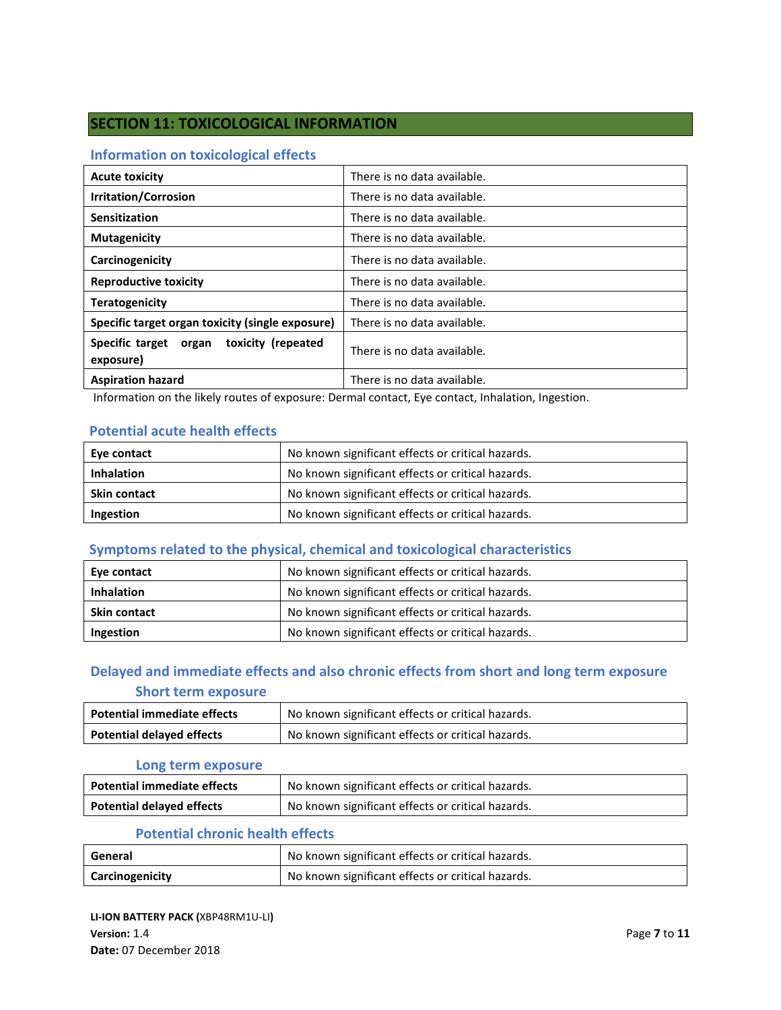# **SECTION 11: TOXICOLOGICAL INFORMATION**

## **Information on toxicological effects**

| <b>Acute toxicity</b>                                 | There is no data available. |
|-------------------------------------------------------|-----------------------------|
| <b>Irritation/Corrosion</b>                           | There is no data available. |
| Sensitization                                         | There is no data available. |
| <b>Mutagenicity</b>                                   | There is no data available. |
| Carcinogenicity                                       | There is no data available. |
| <b>Reproductive toxicity</b>                          | There is no data available. |
| <b>Teratogenicity</b>                                 | There is no data available. |
| Specific target organ toxicity (single exposure)      | There is no data available. |
| Specific target organ toxicity (repeated<br>exposure) | There is no data available. |
| <b>Aspiration hazard</b>                              | There is no data available. |

Information on the likely routes of exposure: Dermal contact, Eye contact, Inhalation, Ingestion.

## **Potential acute health effects**

| Eye contact         | No known significant effects or critical hazards. |
|---------------------|---------------------------------------------------|
| <b>Inhalation</b>   | No known significant effects or critical hazards. |
| <b>Skin contact</b> | No known significant effects or critical hazards. |
| Ingestion           | No known significant effects or critical hazards. |

# **Symptoms related to the physical, chemical and toxicological characteristics**

| Eye contact         | No known significant effects or critical hazards. |
|---------------------|---------------------------------------------------|
| <b>Inhalation</b>   | No known significant effects or critical hazards. |
| <b>Skin contact</b> | No known significant effects or critical hazards. |
| Ingestion           | No known significant effects or critical hazards. |

# **Delayed and immediate effects and also chronic effects from short and long term exposure Short term exposure**

| <b>Potential immediate effects</b> | No known significant effects or critical hazards. |
|------------------------------------|---------------------------------------------------|
| <b>Potential delayed effects</b>   | No known significant effects or critical hazards. |

#### **Long term exposure**

| <b>Potential immediate effects</b> | No known significant effects or critical hazards. |
|------------------------------------|---------------------------------------------------|
| <b>Potential delayed effects</b>   | No known significant effects or critical hazards. |

## **Potential chronic health effects**

| General         | No known significant effects or critical hazards. |
|-----------------|---------------------------------------------------|
| Carcinogenicity | No known significant effects or critical hazards. |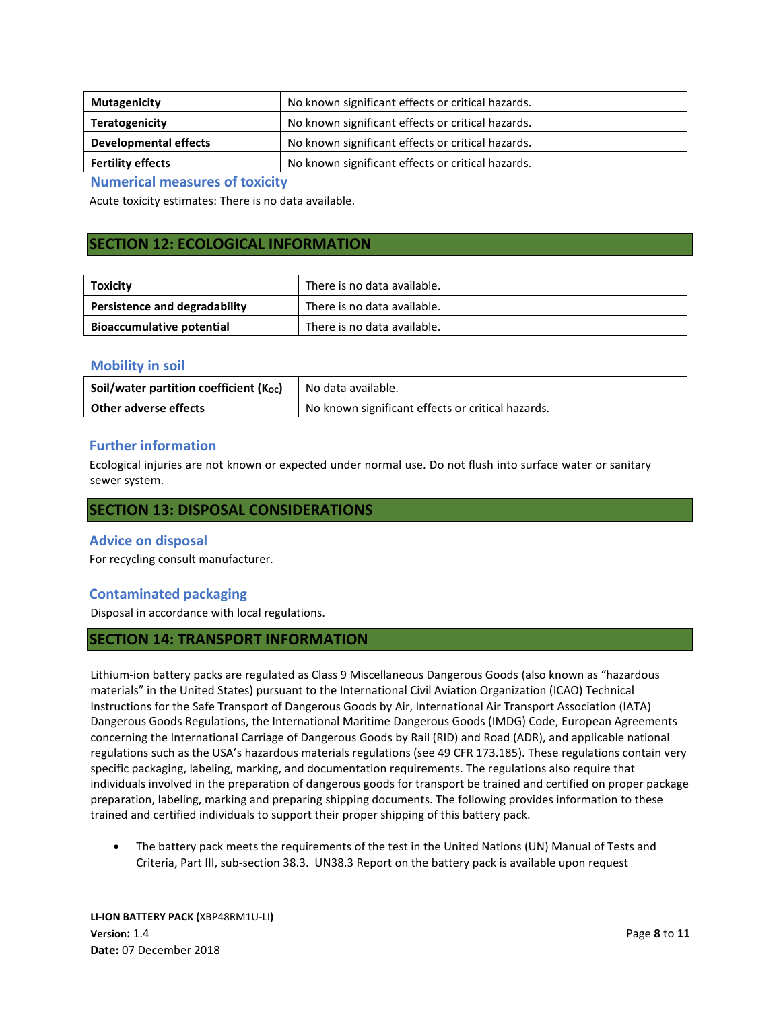| <b>Mutagenicity</b>      | No known significant effects or critical hazards. |
|--------------------------|---------------------------------------------------|
| <b>Teratogenicity</b>    | No known significant effects or critical hazards. |
| Developmental effects    | No known significant effects or critical hazards. |
| <b>Fertility effects</b> | No known significant effects or critical hazards. |

**Numerical measures of toxicity**

Acute toxicity estimates: There is no data available.

## **SECTION 12: ECOLOGICAL INFORMATION**

| Toxicity                         | There is no data available. |
|----------------------------------|-----------------------------|
| Persistence and degradability    | There is no data available. |
| <b>Bioaccumulative potential</b> | There is no data available. |

### **Mobility in soil**

| Soil/water partition coefficient (Koc) | No data available.                                |
|----------------------------------------|---------------------------------------------------|
| <b>Other adverse effects</b>           | No known significant effects or critical hazards. |

## **Further information**

Ecological injuries are not known or expected under normal use. Do not flush into surface water or sanitary sewer system.

## **SECTION 13: DISPOSAL CONSIDERATIONS**

### **Advice on disposal**

For recycling consult manufacturer.

## **Contaminated packaging**

Disposal in accordance with local regulations.

## **SECTION 14: TRANSPORT INFORMATION**

Lithium-ion battery packs are regulated as Class 9 Miscellaneous Dangerous Goods (also known as "hazardous materials" in the United States) pursuant to the International Civil Aviation Organization (ICAO) Technical Instructions for the Safe Transport of Dangerous Goods by Air, International Air Transport Association (IATA) Dangerous Goods Regulations, the International Maritime Dangerous Goods (IMDG) Code, European Agreements concerning the International Carriage of Dangerous Goods by Rail (RID) and Road (ADR), and applicable national regulations such as the USA's hazardous materials regulations (see 49 CFR 173.185). These regulations contain very specific packaging, labeling, marking, and documentation requirements. The regulations also require that individuals involved in the preparation of dangerous goods for transport be trained and certified on proper package preparation, labeling, marking and preparing shipping documents. The following provides information to these trained and certified individuals to support their proper shipping of this battery pack.

The battery pack meets the requirements of the test in the United Nations (UN) Manual of Tests and Criteria, Part III, sub-section 38.3. UN38.3 Report on the battery pack is available upon request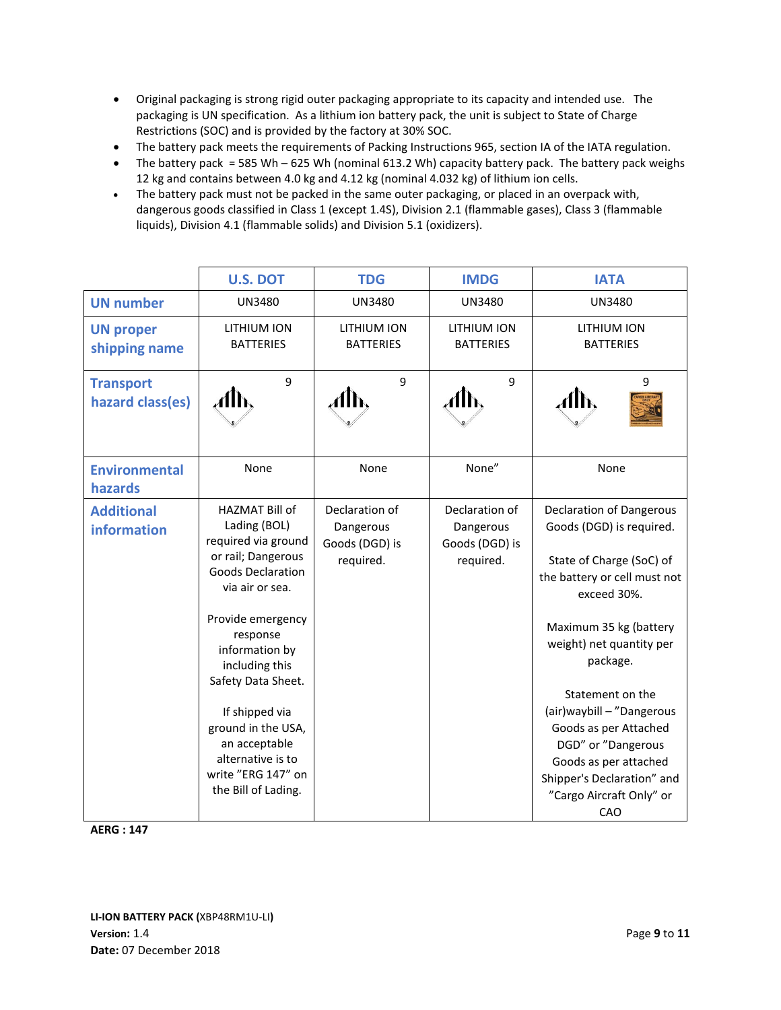- Original packaging is strong rigid outer packaging appropriate to its capacity and intended use. The packaging is UN specification. As a lithium ion battery pack, the unit is subject to State of Charge Restrictions (SOC) and is provided by the factory at 30% SOC.
- The battery pack meets the requirements of Packing Instructions 965, section IA of the IATA regulation.
- The battery pack = 585 Wh 625 Wh (nominal 613.2 Wh) capacity battery pack. The battery pack weighs 12 kg and contains between 4.0 kg and 4.12 kg (nominal 4.032 kg) of lithium ion cells.
- The battery pack must not be packed in the same outer packaging, or placed in an overpack with, dangerous goods classified in Class 1 (except 1.4S), Division 2.1 (flammable gases), Class 3 (flammable liquids), Division 4.1 (flammable solids) and Division 5.1 (oxidizers).

|                                        | <b>U.S. DOT</b>                                                                                                                                                                                                                                                                                                                                  | <b>TDG</b>                                                 | <b>IMDG</b>                                                | <b>IATA</b>                                                                                                                                                                                                                                                                                                                                                                                          |
|----------------------------------------|--------------------------------------------------------------------------------------------------------------------------------------------------------------------------------------------------------------------------------------------------------------------------------------------------------------------------------------------------|------------------------------------------------------------|------------------------------------------------------------|------------------------------------------------------------------------------------------------------------------------------------------------------------------------------------------------------------------------------------------------------------------------------------------------------------------------------------------------------------------------------------------------------|
| <b>UN number</b>                       | <b>UN3480</b>                                                                                                                                                                                                                                                                                                                                    | <b>UN3480</b>                                              | <b>UN3480</b>                                              | <b>UN3480</b>                                                                                                                                                                                                                                                                                                                                                                                        |
| <b>UN proper</b><br>shipping name      | LITHIUM ION<br><b>BATTERIES</b>                                                                                                                                                                                                                                                                                                                  | LITHIUM ION<br><b>BATTERIES</b>                            | LITHIUM ION<br><b>BATTERIES</b>                            | LITHIUM ION<br><b>BATTERIES</b>                                                                                                                                                                                                                                                                                                                                                                      |
| <b>Transport</b><br>hazard class(es)   | 9<br>Alb,                                                                                                                                                                                                                                                                                                                                        | 9                                                          | 9                                                          | 9                                                                                                                                                                                                                                                                                                                                                                                                    |
| <b>Environmental</b><br><b>hazards</b> | None                                                                                                                                                                                                                                                                                                                                             | None                                                       | None"                                                      | None                                                                                                                                                                                                                                                                                                                                                                                                 |
| <b>Additional</b><br>information       | HAZMAT Bill of<br>Lading (BOL)<br>required via ground<br>or rail; Dangerous<br><b>Goods Declaration</b><br>via air or sea.<br>Provide emergency<br>response<br>information by<br>including this<br>Safety Data Sheet.<br>If shipped via<br>ground in the USA,<br>an acceptable<br>alternative is to<br>write "ERG 147" on<br>the Bill of Lading. | Declaration of<br>Dangerous<br>Goods (DGD) is<br>required. | Declaration of<br>Dangerous<br>Goods (DGD) is<br>required. | <b>Declaration of Dangerous</b><br>Goods (DGD) is required.<br>State of Charge (SoC) of<br>the battery or cell must not<br>exceed 30%.<br>Maximum 35 kg (battery<br>weight) net quantity per<br>package.<br>Statement on the<br>(air) way bill - "Dangerous<br>Goods as per Attached<br>DGD" or "Dangerous<br>Goods as per attached<br>Shipper's Declaration" and<br>"Cargo Aircraft Only" or<br>CAO |

**AERG : 147**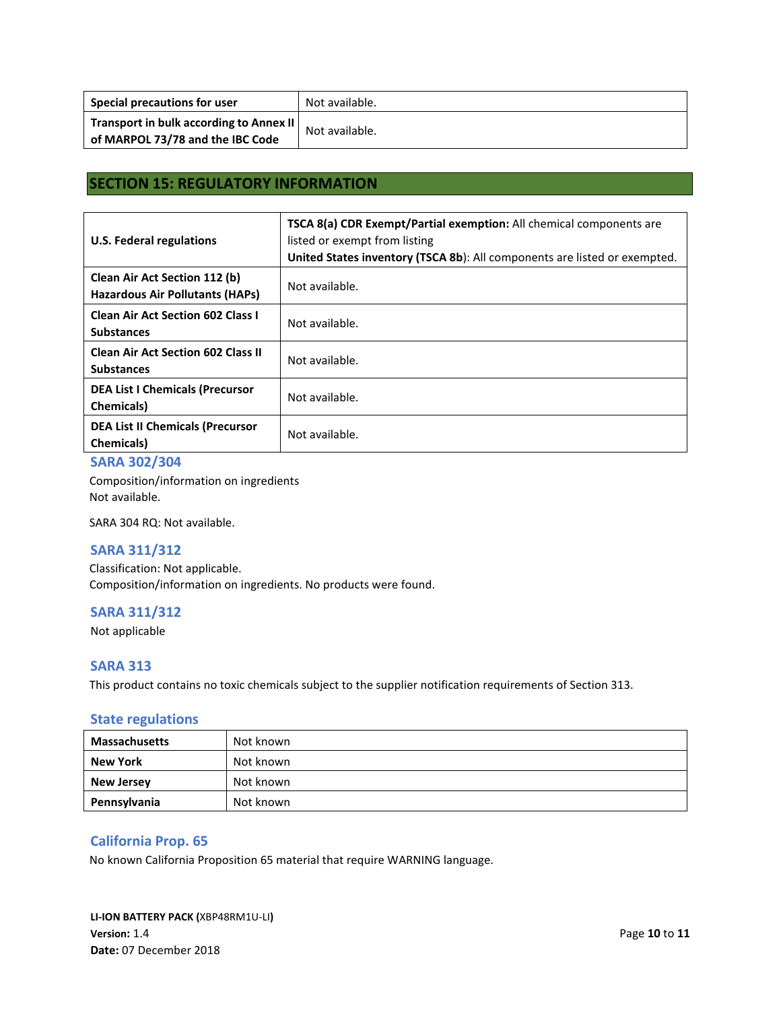| Special precautions for user                                                | Not available. |
|-----------------------------------------------------------------------------|----------------|
| Transport in bulk according to Annex II<br>of MARPOL 73/78 and the IBC Code | Not available. |

# **SECTION 15: REGULATORY INFORMATION**

| U.S. Federal regulations                                                | <b>TSCA 8(a) CDR Exempt/Partial exemption:</b> All chemical components are<br>listed or exempt from listing<br>United States inventory (TSCA 8b): All components are listed or exempted. |
|-------------------------------------------------------------------------|------------------------------------------------------------------------------------------------------------------------------------------------------------------------------------------|
| Clean Air Act Section 112 (b)<br><b>Hazardous Air Pollutants (HAPs)</b> | Not available.                                                                                                                                                                           |
| <b>Clean Air Act Section 602 Class I</b><br><b>Substances</b>           | Not available.                                                                                                                                                                           |
| <b>Clean Air Act Section 602 Class II</b><br><b>Substances</b>          | Not available.                                                                                                                                                                           |
| <b>DEA List I Chemicals (Precursor</b><br><b>Chemicals</b> )            | Not available.                                                                                                                                                                           |
| <b>DEA List II Chemicals (Precursor</b><br><b>Chemicals</b> )           | Not available.                                                                                                                                                                           |

### **SARA 302/304**

Composition/information on ingredients Not available.

SARA 304 RQ: Not available.

### **SARA 311/312**

Classification: Not applicable. Composition/information on ingredients. No products were found.

### **SARA 311/312**

Not applicable

### **SARA 313**

This product contains no toxic chemicals subject to the supplier notification requirements of Section 313.

### **State regulations**

| <b>Massachusetts</b> | Not known |
|----------------------|-----------|
| New York             | Not known |
| <b>New Jersey</b>    | Not known |
| Pennsylvania         | Not known |

## **California Prop. 65**

No known California Proposition 65 material that require WARNING language.